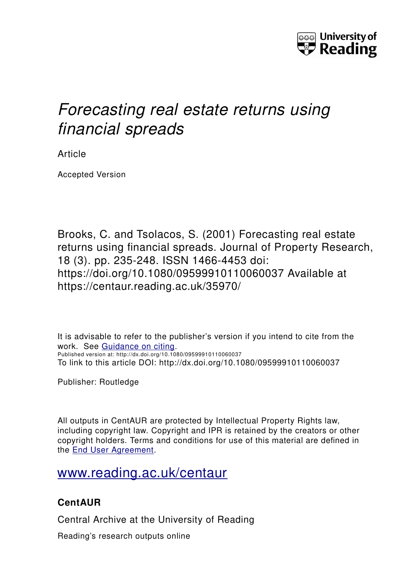

# *Forecasting real estate returns using financial spreads*

Article

Accepted Version

Brooks, C. and Tsolacos, S. (2001) Forecasting real estate returns using financial spreads. Journal of Property Research, 18 (3). pp. 235-248. ISSN 1466-4453 doi: https://doi.org/10.1080/09599910110060037 Available at https://centaur.reading.ac.uk/35970/

It is advisable to refer to the publisher's version if you intend to cite from the work. See [Guidance on citing.](http://centaur.reading.ac.uk/71187/10/CentAUR%20citing%20guide.pdf) Published version at: http://dx.doi.org/10.1080/09599910110060037 To link to this article DOI: http://dx.doi.org/10.1080/09599910110060037

Publisher: Routledge

All outputs in CentAUR are protected by Intellectual Property Rights law, including copyright law. Copyright and IPR is retained by the creators or other copyright holders. Terms and conditions for use of this material are defined in the [End User Agreement.](http://centaur.reading.ac.uk/licence)

[www.reading.ac.uk/centaur](http://www.reading.ac.uk/centaur)

# **CentAUR**

Central Archive at the University of Reading

Reading's research outputs online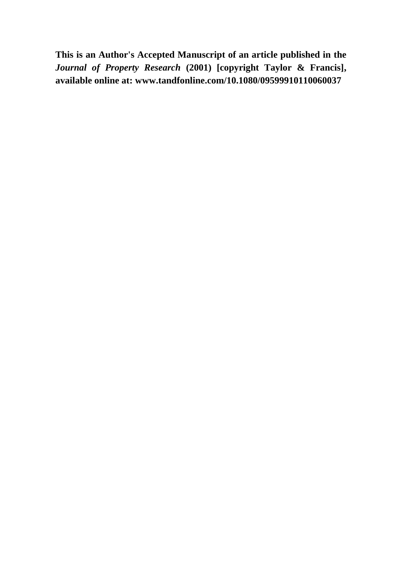**This is an Author's Accepted Manuscript of an article published in the**  *Journal of Property Research* **(2001) [copyright Taylor & Francis], available online at: www.tandfonline.com/10.1080/09599910110060037**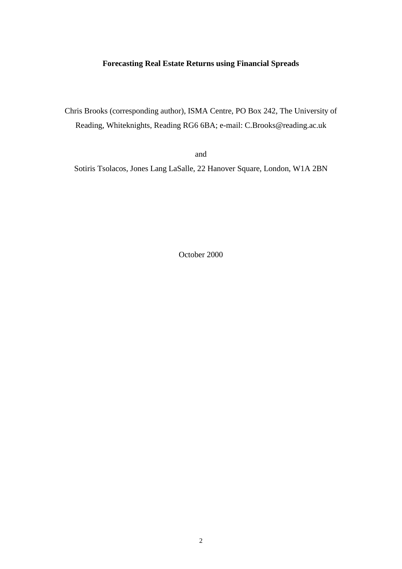### **Forecasting Real Estate Returns using Financial Spreads**

Chris Brooks (corresponding author), ISMA Centre, PO Box 242, The University of Reading, Whiteknights, Reading RG6 6BA; e-mail: C.Brooks@reading.ac.uk

and

Sotiris Tsolacos, Jones Lang LaSalle, 22 Hanover Square, London, W1A 2BN

October 2000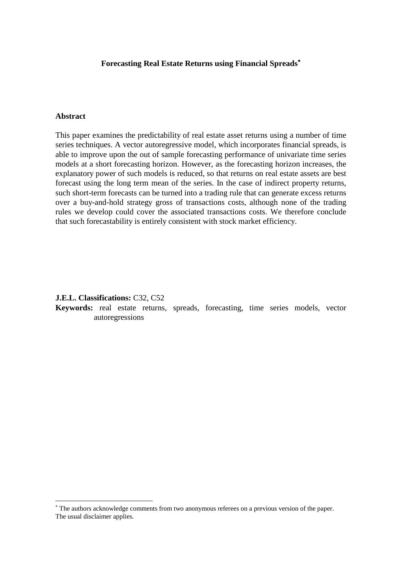### **Forecasting Real Estate Returns using Financial Spreads**

### **Abstract**

 $\overline{a}$ 

This paper examines the predictability of real estate asset returns using a number of time series techniques. A vector autoregressive model, which incorporates financial spreads, is able to improve upon the out of sample forecasting performance of univariate time series models at a short forecasting horizon. However, as the forecasting horizon increases, the explanatory power of such models is reduced, so that returns on real estate assets are best forecast using the long term mean of the series. In the case of indirect property returns, such short-term forecasts can be turned into a trading rule that can generate excess returns over a buy-and-hold strategy gross of transactions costs, although none of the trading rules we develop could cover the associated transactions costs. We therefore conclude that such forecastability is entirely consistent with stock market efficiency.

**J.E.L. Classifications:** C32, C52

**Keywords:** real estate returns, spreads, forecasting, time series models, vector autoregressions

The authors acknowledge comments from two anonymous referees on a previous version of the paper. The usual disclaimer applies.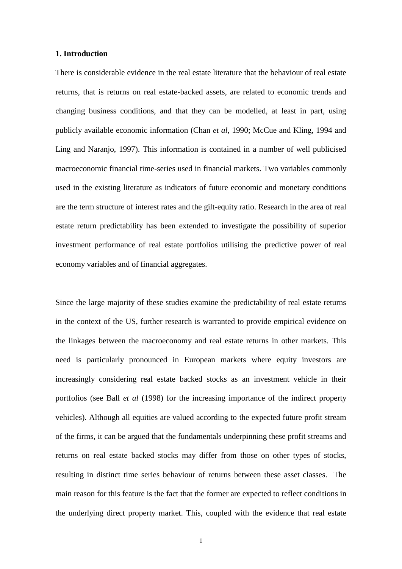#### **1. Introduction**

There is considerable evidence in the real estate literature that the behaviour of real estate returns, that is returns on real estate-backed assets, are related to economic trends and changing business conditions, and that they can be modelled, at least in part, using publicly available economic information (Chan *et al*, 1990; McCue and Kling, 1994 and Ling and Naranjo, 1997). This information is contained in a number of well publicised macroeconomic financial time-series used in financial markets. Two variables commonly used in the existing literature as indicators of future economic and monetary conditions are the term structure of interest rates and the gilt-equity ratio. Research in the area of real estate return predictability has been extended to investigate the possibility of superior investment performance of real estate portfolios utilising the predictive power of real economy variables and of financial aggregates.

Since the large majority of these studies examine the predictability of real estate returns in the context of the US, further research is warranted to provide empirical evidence on the linkages between the macroeconomy and real estate returns in other markets. This need is particularly pronounced in European markets where equity investors are increasingly considering real estate backed stocks as an investment vehicle in their portfolios (see Ball *et al* (1998) for the increasing importance of the indirect property vehicles). Although all equities are valued according to the expected future profit stream of the firms, it can be argued that the fundamentals underpinning these profit streams and returns on real estate backed stocks may differ from those on other types of stocks, resulting in distinct time series behaviour of returns between these asset classes. The main reason for this feature is the fact that the former are expected to reflect conditions in the underlying direct property market. This, coupled with the evidence that real estate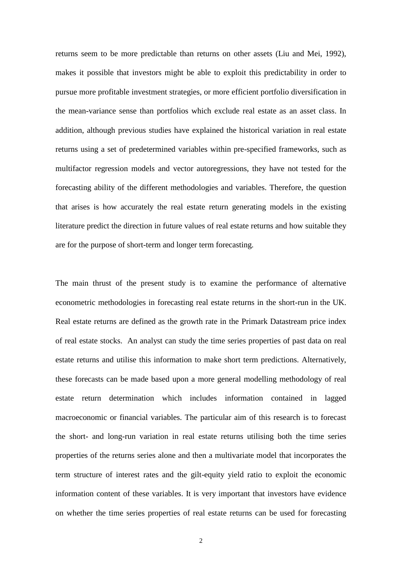returns seem to be more predictable than returns on other assets (Liu and Mei, 1992), makes it possible that investors might be able to exploit this predictability in order to pursue more profitable investment strategies, or more efficient portfolio diversification in the mean-variance sense than portfolios which exclude real estate as an asset class. In addition, although previous studies have explained the historical variation in real estate returns using a set of predetermined variables within pre-specified frameworks, such as multifactor regression models and vector autoregressions, they have not tested for the forecasting ability of the different methodologies and variables. Therefore, the question that arises is how accurately the real estate return generating models in the existing literature predict the direction in future values of real estate returns and how suitable they are for the purpose of short-term and longer term forecasting.

The main thrust of the present study is to examine the performance of alternative econometric methodologies in forecasting real estate returns in the short-run in the UK. Real estate returns are defined as the growth rate in the Primark Datastream price index of real estate stocks. An analyst can study the time series properties of past data on real estate returns and utilise this information to make short term predictions. Alternatively, these forecasts can be made based upon a more general modelling methodology of real estate return determination which includes information contained in lagged macroeconomic or financial variables. The particular aim of this research is to forecast the short- and long-run variation in real estate returns utilising both the time series properties of the returns series alone and then a multivariate model that incorporates the term structure of interest rates and the gilt-equity yield ratio to exploit the economic information content of these variables. It is very important that investors have evidence on whether the time series properties of real estate returns can be used for forecasting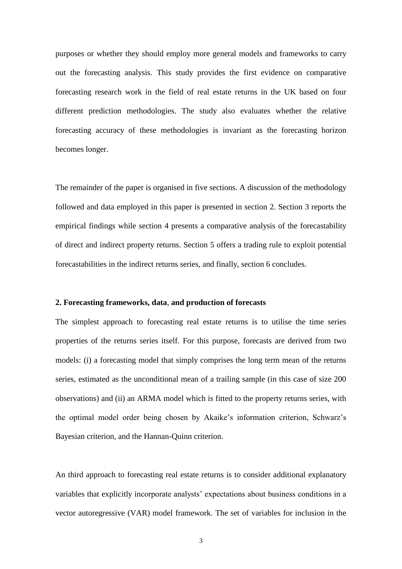purposes or whether they should employ more general models and frameworks to carry out the forecasting analysis. This study provides the first evidence on comparative forecasting research work in the field of real estate returns in the UK based on four different prediction methodologies. The study also evaluates whether the relative forecasting accuracy of these methodologies is invariant as the forecasting horizon becomes longer.

The remainder of the paper is organised in five sections. A discussion of the methodology followed and data employed in this paper is presented in section 2. Section 3 reports the empirical findings while section 4 presents a comparative analysis of the forecastability of direct and indirect property returns. Section 5 offers a trading rule to exploit potential forecastabilities in the indirect returns series, and finally, section 6 concludes.

#### **2. Forecasting frameworks, data**, **and production of forecasts**

The simplest approach to forecasting real estate returns is to utilise the time series properties of the returns series itself. For this purpose, forecasts are derived from two models: (i) a forecasting model that simply comprises the long term mean of the returns series, estimated as the unconditional mean of a trailing sample (in this case of size 200 observations) and (ii) an ARMA model which is fitted to the property returns series, with the optimal model order being chosen by Akaike's information criterion, Schwarz's Bayesian criterion, and the Hannan-Quinn criterion.

An third approach to forecasting real estate returns is to consider additional explanatory variables that explicitly incorporate analysts' expectations about business conditions in a vector autoregressive (VAR) model framework. The set of variables for inclusion in the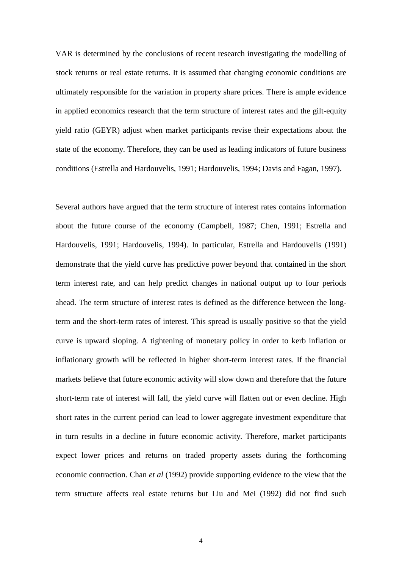VAR is determined by the conclusions of recent research investigating the modelling of stock returns or real estate returns. It is assumed that changing economic conditions are ultimately responsible for the variation in property share prices. There is ample evidence in applied economics research that the term structure of interest rates and the gilt-equity yield ratio (GEYR) adjust when market participants revise their expectations about the state of the economy. Therefore, they can be used as leading indicators of future business conditions (Estrella and Hardouvelis, 1991; Hardouvelis, 1994; Davis and Fagan, 1997).

Several authors have argued that the term structure of interest rates contains information about the future course of the economy (Campbell, 1987; Chen, 1991; Estrella and Hardouvelis, 1991; Hardouvelis, 1994). In particular, Estrella and Hardouvelis (1991) demonstrate that the yield curve has predictive power beyond that contained in the short term interest rate, and can help predict changes in national output up to four periods ahead. The term structure of interest rates is defined as the difference between the longterm and the short-term rates of interest. This spread is usually positive so that the yield curve is upward sloping. A tightening of monetary policy in order to kerb inflation or inflationary growth will be reflected in higher short-term interest rates. If the financial markets believe that future economic activity will slow down and therefore that the future short-term rate of interest will fall, the yield curve will flatten out or even decline. High short rates in the current period can lead to lower aggregate investment expenditure that in turn results in a decline in future economic activity. Therefore, market participants expect lower prices and returns on traded property assets during the forthcoming economic contraction. Chan *et al* (1992) provide supporting evidence to the view that the term structure affects real estate returns but Liu and Mei (1992) did not find such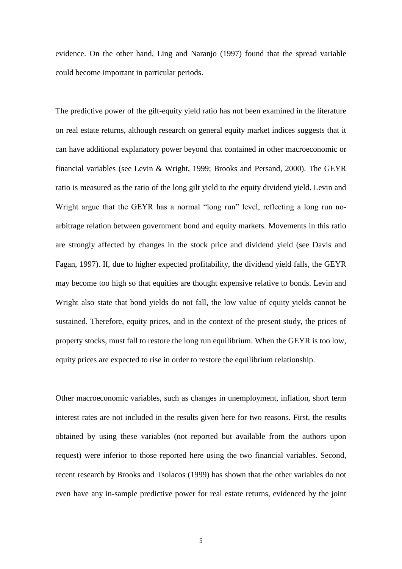evidence. On the other hand, Ling and Naranjo (1997) found that the spread variable could become important in particular periods.

The predictive power of the gilt-equity yield ratio has not been examined in the literature on real estate returns, although research on general equity market indices suggests that it can have additional explanatory power beyond that contained in other macroeconomic or financial variables (see Levin & Wright, 1999; Brooks and Persand, 2000). The GEYR ratio is measured as the ratio of the long gilt yield to the equity dividend yield. Levin and Wright argue that the GEYR has a normal "long run" level, reflecting a long run noarbitrage relation between government bond and equity markets. Movements in this ratio are strongly affected by changes in the stock price and dividend yield (see Davis and Fagan, 1997). If, due to higher expected profitability, the dividend yield falls, the GEYR may become too high so that equities are thought expensive relative to bonds. Levin and Wright also state that bond yields do not fall, the low value of equity yields cannot be sustained. Therefore, equity prices, and in the context of the present study, the prices of property stocks, must fall to restore the long run equilibrium. When the GEYR is too low, equity prices are expected to rise in order to restore the equilibrium relationship.

Other macroeconomic variables, such as changes in unemployment, inflation, short term interest rates are not included in the results given here for two reasons. First, the results obtained by using these variables (not reported but available from the authors upon request) were inferior to those reported here using the two financial variables. Second, recent research by Brooks and Tsolacos (1999) has shown that the other variables do not even have any in-sample predictive power for real estate returns, evidenced by the joint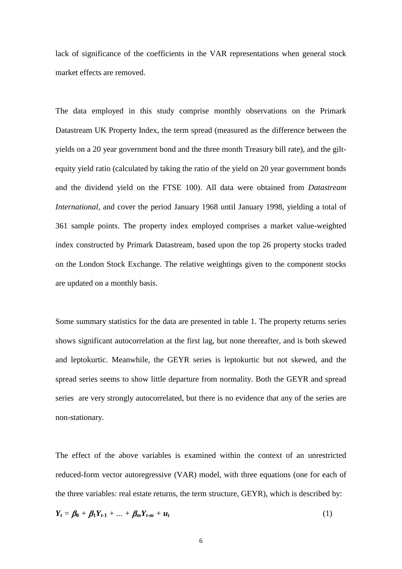lack of significance of the coefficients in the VAR representations when general stock market effects are removed.

The data employed in this study comprise monthly observations on the Primark Datastream UK Property Index, the term spread (measured as the difference between the yields on a 20 year government bond and the three month Treasury bill rate), and the giltequity yield ratio (calculated by taking the ratio of the yield on 20 year government bonds and the dividend yield on the FTSE 100). All data were obtained from *Datastream International*, and cover the period January 1968 until January 1998, yielding a total of 361 sample points. The property index employed comprises a market value-weighted index constructed by Primark Datastream, based upon the top 26 property stocks traded on the London Stock Exchange. The relative weightings given to the component stocks are updated on a monthly basis.

Some summary statistics for the data are presented in table 1. The property returns series shows significant autocorrelation at the first lag, but none thereafter, and is both skewed and leptokurtic. Meanwhile, the GEYR series is leptokurtic but not skewed, and the spread series seems to show little departure from normality. Both the GEYR and spread series are very strongly autocorrelated, but there is no evidence that any of the series are non-stationary.

The effect of the above variables is examined within the context of an unrestricted reduced-form vector autoregressive (VAR) model, with three equations (one for each of the three variables: real estate returns, the term structure, GEYR), which is described by:

$$
Y_t = \beta_0 + \beta_1 Y_{t-1} + \ldots + \beta_m Y_{t-m} + u_t \tag{1}
$$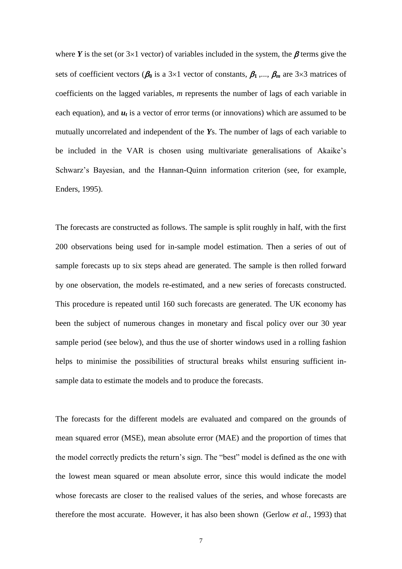where *Y* is the set (or  $3\times1$  vector) of variables included in the system, the  $\beta$  terms give the sets of coefficient vectors ( $\beta_0$  is a 3×1 vector of constants,  $\beta_1$ ,...,  $\beta_m$  are 3×3 matrices of coefficients on the lagged variables, *m* represents the number of lags of each variable in each equation), and  $u_t$  is a vector of error terms (or innovations) which are assumed to be mutually uncorrelated and independent of the *Y*s. The number of lags of each variable to be included in the VAR is chosen using multivariate generalisations of Akaike's Schwarz's Bayesian, and the Hannan-Quinn information criterion (see, for example, Enders, 1995).

The forecasts are constructed as follows. The sample is split roughly in half, with the first 200 observations being used for in-sample model estimation. Then a series of out of sample forecasts up to six steps ahead are generated. The sample is then rolled forward by one observation, the models re-estimated, and a new series of forecasts constructed. This procedure is repeated until 160 such forecasts are generated. The UK economy has been the subject of numerous changes in monetary and fiscal policy over our 30 year sample period (see below), and thus the use of shorter windows used in a rolling fashion helps to minimise the possibilities of structural breaks whilst ensuring sufficient insample data to estimate the models and to produce the forecasts.

The forecasts for the different models are evaluated and compared on the grounds of mean squared error (MSE), mean absolute error (MAE) and the proportion of times that the model correctly predicts the return's sign. The "best" model is defined as the one with the lowest mean squared or mean absolute error, since this would indicate the model whose forecasts are closer to the realised values of the series, and whose forecasts are therefore the most accurate. However, it has also been shown (Gerlow *et al.*, 1993) that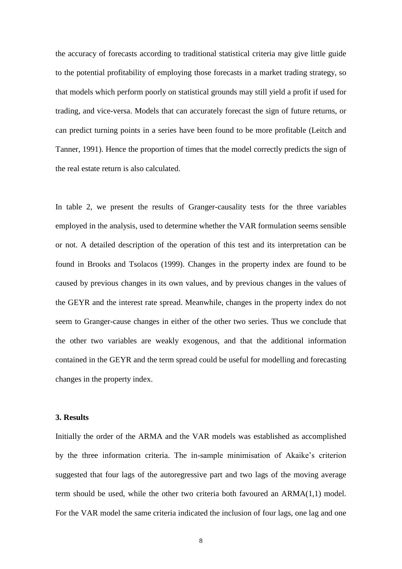the accuracy of forecasts according to traditional statistical criteria may give little guide to the potential profitability of employing those forecasts in a market trading strategy, so that models which perform poorly on statistical grounds may still yield a profit if used for trading, and vice-versa. Models that can accurately forecast the sign of future returns, or can predict turning points in a series have been found to be more profitable (Leitch and Tanner, 1991). Hence the proportion of times that the model correctly predicts the sign of the real estate return is also calculated.

In table 2, we present the results of Granger-causality tests for the three variables employed in the analysis, used to determine whether the VAR formulation seems sensible or not. A detailed description of the operation of this test and its interpretation can be found in Brooks and Tsolacos (1999). Changes in the property index are found to be caused by previous changes in its own values, and by previous changes in the values of the GEYR and the interest rate spread. Meanwhile, changes in the property index do not seem to Granger-cause changes in either of the other two series. Thus we conclude that the other two variables are weakly exogenous, and that the additional information contained in the GEYR and the term spread could be useful for modelling and forecasting changes in the property index.

#### **3. Results**

Initially the order of the ARMA and the VAR models was established as accomplished by the three information criteria. The in-sample minimisation of Akaike's criterion suggested that four lags of the autoregressive part and two lags of the moving average term should be used, while the other two criteria both favoured an ARMA(1,1) model. For the VAR model the same criteria indicated the inclusion of four lags, one lag and one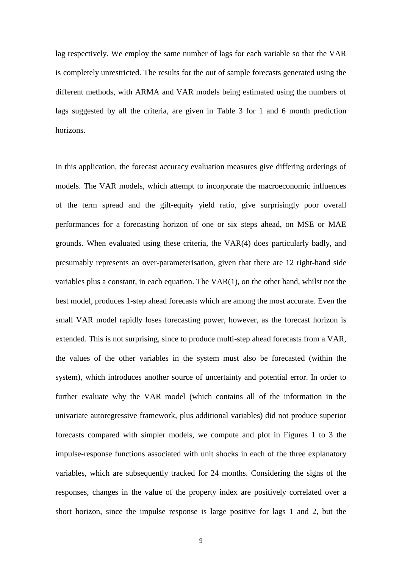lag respectively. We employ the same number of lags for each variable so that the VAR is completely unrestricted. The results for the out of sample forecasts generated using the different methods, with ARMA and VAR models being estimated using the numbers of lags suggested by all the criteria, are given in Table 3 for 1 and 6 month prediction horizons.

In this application, the forecast accuracy evaluation measures give differing orderings of models. The VAR models, which attempt to incorporate the macroeconomic influences of the term spread and the gilt-equity yield ratio, give surprisingly poor overall performances for a forecasting horizon of one or six steps ahead, on MSE or MAE grounds. When evaluated using these criteria, the VAR(4) does particularly badly, and presumably represents an over-parameterisation, given that there are 12 right-hand side variables plus a constant, in each equation. The VAR(1), on the other hand, whilst not the best model, produces 1-step ahead forecasts which are among the most accurate. Even the small VAR model rapidly loses forecasting power, however, as the forecast horizon is extended. This is not surprising, since to produce multi-step ahead forecasts from a VAR, the values of the other variables in the system must also be forecasted (within the system), which introduces another source of uncertainty and potential error. In order to further evaluate why the VAR model (which contains all of the information in the univariate autoregressive framework, plus additional variables) did not produce superior forecasts compared with simpler models, we compute and plot in Figures 1 to 3 the impulse-response functions associated with unit shocks in each of the three explanatory variables, which are subsequently tracked for 24 months. Considering the signs of the responses, changes in the value of the property index are positively correlated over a short horizon, since the impulse response is large positive for lags 1 and 2, but the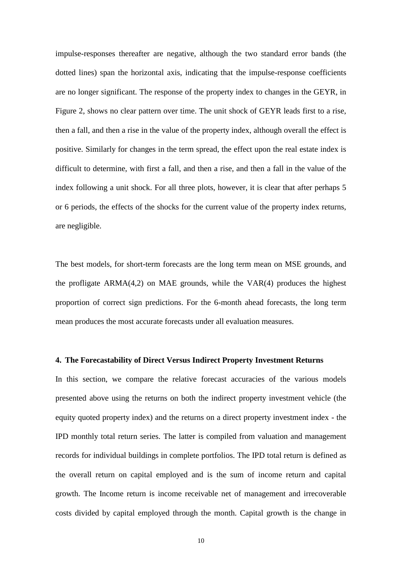impulse-responses thereafter are negative, although the two standard error bands (the dotted lines) span the horizontal axis, indicating that the impulse-response coefficients are no longer significant. The response of the property index to changes in the GEYR, in Figure 2, shows no clear pattern over time. The unit shock of GEYR leads first to a rise, then a fall, and then a rise in the value of the property index, although overall the effect is positive. Similarly for changes in the term spread, the effect upon the real estate index is difficult to determine, with first a fall, and then a rise, and then a fall in the value of the index following a unit shock. For all three plots, however, it is clear that after perhaps 5 or 6 periods, the effects of the shocks for the current value of the property index returns, are negligible.

The best models, for short-term forecasts are the long term mean on MSE grounds, and the profligate ARMA(4,2) on MAE grounds, while the VAR(4) produces the highest proportion of correct sign predictions. For the 6-month ahead forecasts, the long term mean produces the most accurate forecasts under all evaluation measures.

#### **4. The Forecastability of Direct Versus Indirect Property Investment Returns**

In this section, we compare the relative forecast accuracies of the various models presented above using the returns on both the indirect property investment vehicle (the equity quoted property index) and the returns on a direct property investment index - the IPD monthly total return series. The latter is compiled from valuation and management records for individual buildings in complete portfolios. The IPD total return is defined as the overall return on capital employed and is the sum of income return and capital growth. The Income return is income receivable net of management and irrecoverable costs divided by capital employed through the month. Capital growth is the change in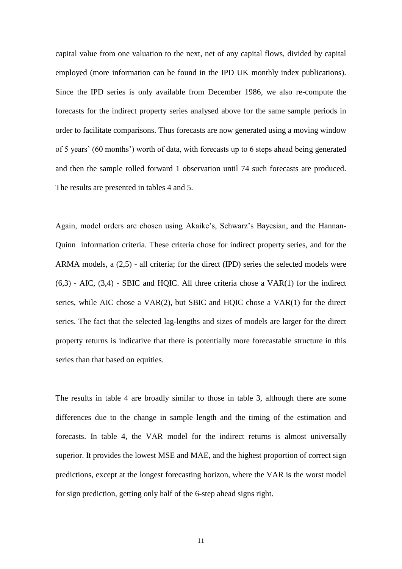capital value from one valuation to the next, net of any capital flows, divided by capital employed (more information can be found in the IPD UK monthly index publications). Since the IPD series is only available from December 1986, we also re-compute the forecasts for the indirect property series analysed above for the same sample periods in order to facilitate comparisons. Thus forecasts are now generated using a moving window of 5 years' (60 months') worth of data, with forecasts up to 6 steps ahead being generated and then the sample rolled forward 1 observation until 74 such forecasts are produced. The results are presented in tables 4 and 5.

Again, model orders are chosen using Akaike's, Schwarz's Bayesian, and the Hannan-Quinn information criteria. These criteria chose for indirect property series, and for the ARMA models, a (2,5) - all criteria; for the direct (IPD) series the selected models were  $(6,3)$  - AIC,  $(3,4)$  - SBIC and HQIC. All three criteria chose a VAR $(1)$  for the indirect series, while AIC chose a VAR(2), but SBIC and HQIC chose a VAR(1) for the direct series. The fact that the selected lag-lengths and sizes of models are larger for the direct property returns is indicative that there is potentially more forecastable structure in this series than that based on equities.

The results in table 4 are broadly similar to those in table 3, although there are some differences due to the change in sample length and the timing of the estimation and forecasts. In table 4, the VAR model for the indirect returns is almost universally superior. It provides the lowest MSE and MAE, and the highest proportion of correct sign predictions, except at the longest forecasting horizon, where the VAR is the worst model for sign prediction, getting only half of the 6-step ahead signs right.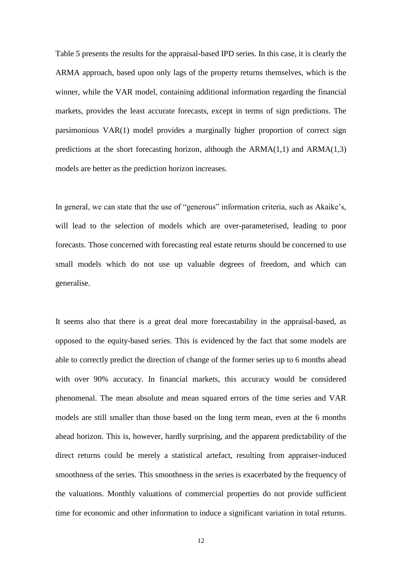Table 5 presents the results for the appraisal-based IPD series. In this case, it is clearly the ARMA approach, based upon only lags of the property returns themselves, which is the winner, while the VAR model, containing additional information regarding the financial markets, provides the least accurate forecasts, except in terms of sign predictions. The parsimonious VAR(1) model provides a marginally higher proportion of correct sign predictions at the short forecasting horizon, although the  $ARMA(1,1)$  and  $ARMA(1,3)$ models are better as the prediction horizon increases.

In general, we can state that the use of "generous" information criteria, such as Akaike's, will lead to the selection of models which are over-parameterised, leading to poor forecasts. Those concerned with forecasting real estate returns should be concerned to use small models which do not use up valuable degrees of freedom, and which can generalise.

It seems also that there is a great deal more forecastability in the appraisal-based, as opposed to the equity-based series. This is evidenced by the fact that some models are able to correctly predict the direction of change of the former series up to 6 months ahead with over 90% accuracy. In financial markets, this accuracy would be considered phenomenal. The mean absolute and mean squared errors of the time series and VAR models are still smaller than those based on the long term mean, even at the 6 months ahead horizon. This is, however, hardly surprising, and the apparent predictability of the direct returns could be merely a statistical artefact, resulting from appraiser-induced smoothness of the series. This smoothness in the series is exacerbated by the frequency of the valuations. Monthly valuations of commercial properties do not provide sufficient time for economic and other information to induce a significant variation in total returns.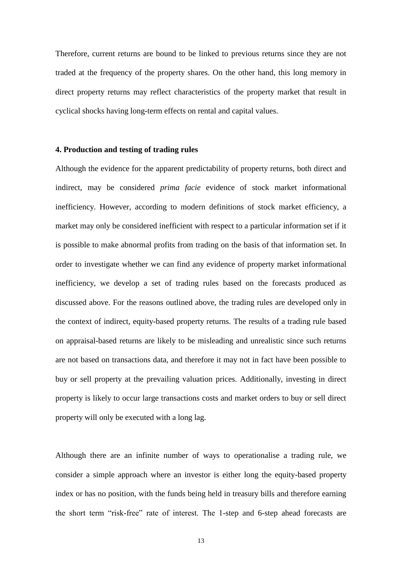Therefore, current returns are bound to be linked to previous returns since they are not traded at the frequency of the property shares. On the other hand, this long memory in direct property returns may reflect characteristics of the property market that result in cyclical shocks having long-term effects on rental and capital values.

#### **4. Production and testing of trading rules**

Although the evidence for the apparent predictability of property returns, both direct and indirect, may be considered *prima facie* evidence of stock market informational inefficiency. However, according to modern definitions of stock market efficiency, a market may only be considered inefficient with respect to a particular information set if it is possible to make abnormal profits from trading on the basis of that information set. In order to investigate whether we can find any evidence of property market informational inefficiency, we develop a set of trading rules based on the forecasts produced as discussed above. For the reasons outlined above, the trading rules are developed only in the context of indirect, equity-based property returns. The results of a trading rule based on appraisal-based returns are likely to be misleading and unrealistic since such returns are not based on transactions data, and therefore it may not in fact have been possible to buy or sell property at the prevailing valuation prices. Additionally, investing in direct property is likely to occur large transactions costs and market orders to buy or sell direct property will only be executed with a long lag.

Although there are an infinite number of ways to operationalise a trading rule, we consider a simple approach where an investor is either long the equity-based property index or has no position, with the funds being held in treasury bills and therefore earning the short term "risk-free" rate of interest. The 1-step and 6-step ahead forecasts are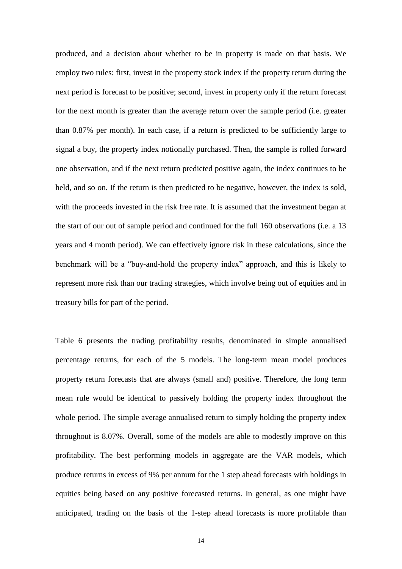produced, and a decision about whether to be in property is made on that basis. We employ two rules: first, invest in the property stock index if the property return during the next period is forecast to be positive; second, invest in property only if the return forecast for the next month is greater than the average return over the sample period (i.e. greater than 0.87% per month). In each case, if a return is predicted to be sufficiently large to signal a buy, the property index notionally purchased. Then, the sample is rolled forward one observation, and if the next return predicted positive again, the index continues to be held, and so on. If the return is then predicted to be negative, however, the index is sold, with the proceeds invested in the risk free rate. It is assumed that the investment began at the start of our out of sample period and continued for the full 160 observations (i.e. a 13 years and 4 month period). We can effectively ignore risk in these calculations, since the benchmark will be a "buy-and-hold the property index" approach, and this is likely to represent more risk than our trading strategies, which involve being out of equities and in treasury bills for part of the period.

Table 6 presents the trading profitability results, denominated in simple annualised percentage returns, for each of the 5 models. The long-term mean model produces property return forecasts that are always (small and) positive. Therefore, the long term mean rule would be identical to passively holding the property index throughout the whole period. The simple average annualised return to simply holding the property index throughout is 8.07%. Overall, some of the models are able to modestly improve on this profitability. The best performing models in aggregate are the VAR models, which produce returns in excess of 9% per annum for the 1 step ahead forecasts with holdings in equities being based on any positive forecasted returns. In general, as one might have anticipated, trading on the basis of the 1-step ahead forecasts is more profitable than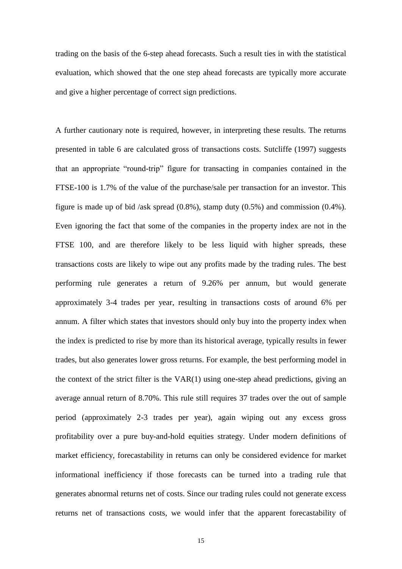trading on the basis of the 6-step ahead forecasts. Such a result ties in with the statistical evaluation, which showed that the one step ahead forecasts are typically more accurate and give a higher percentage of correct sign predictions.

A further cautionary note is required, however, in interpreting these results. The returns presented in table 6 are calculated gross of transactions costs. Sutcliffe (1997) suggests that an appropriate "round-trip" figure for transacting in companies contained in the FTSE-100 is 1.7% of the value of the purchase/sale per transaction for an investor. This figure is made up of bid /ask spread (0.8%), stamp duty (0.5%) and commission (0.4%). Even ignoring the fact that some of the companies in the property index are not in the FTSE 100, and are therefore likely to be less liquid with higher spreads, these transactions costs are likely to wipe out any profits made by the trading rules. The best performing rule generates a return of 9.26% per annum, but would generate approximately 3-4 trades per year, resulting in transactions costs of around 6% per annum. A filter which states that investors should only buy into the property index when the index is predicted to rise by more than its historical average, typically results in fewer trades, but also generates lower gross returns. For example, the best performing model in the context of the strict filter is the VAR(1) using one-step ahead predictions, giving an average annual return of 8.70%. This rule still requires 37 trades over the out of sample period (approximately 2-3 trades per year), again wiping out any excess gross profitability over a pure buy-and-hold equities strategy. Under modern definitions of market efficiency, forecastability in returns can only be considered evidence for market informational inefficiency if those forecasts can be turned into a trading rule that generates abnormal returns net of costs. Since our trading rules could not generate excess returns net of transactions costs, we would infer that the apparent forecastability of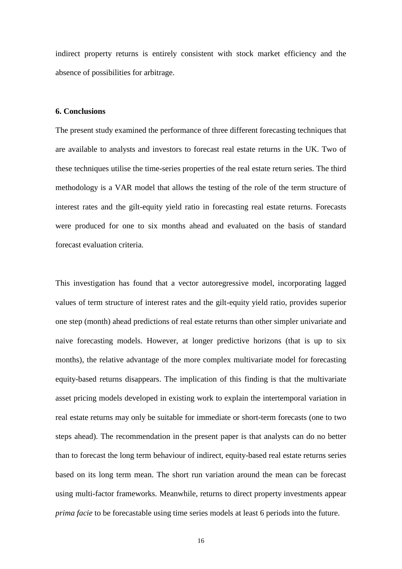indirect property returns is entirely consistent with stock market efficiency and the absence of possibilities for arbitrage.

#### **6. Conclusions**

The present study examined the performance of three different forecasting techniques that are available to analysts and investors to forecast real estate returns in the UK. Two of these techniques utilise the time-series properties of the real estate return series. The third methodology is a VAR model that allows the testing of the role of the term structure of interest rates and the gilt-equity yield ratio in forecasting real estate returns. Forecasts were produced for one to six months ahead and evaluated on the basis of standard forecast evaluation criteria.

This investigation has found that a vector autoregressive model, incorporating lagged values of term structure of interest rates and the gilt-equity yield ratio, provides superior one step (month) ahead predictions of real estate returns than other simpler univariate and naive forecasting models. However, at longer predictive horizons (that is up to six months), the relative advantage of the more complex multivariate model for forecasting equity-based returns disappears. The implication of this finding is that the multivariate asset pricing models developed in existing work to explain the intertemporal variation in real estate returns may only be suitable for immediate or short-term forecasts (one to two steps ahead). The recommendation in the present paper is that analysts can do no better than to forecast the long term behaviour of indirect, equity-based real estate returns series based on its long term mean. The short run variation around the mean can be forecast using multi-factor frameworks. Meanwhile, returns to direct property investments appear *prima facie* to be forecastable using time series models at least 6 periods into the future.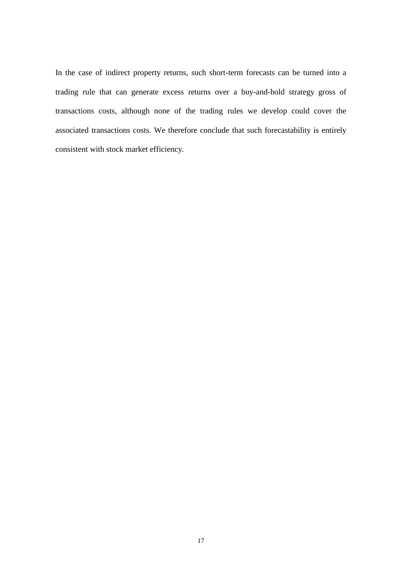In the case of indirect property returns, such short-term forecasts can be turned into a trading rule that can generate excess returns over a buy-and-hold strategy gross of transactions costs, although none of the trading rules we develop could cover the associated transactions costs. We therefore conclude that such forecastability is entirely consistent with stock market efficiency.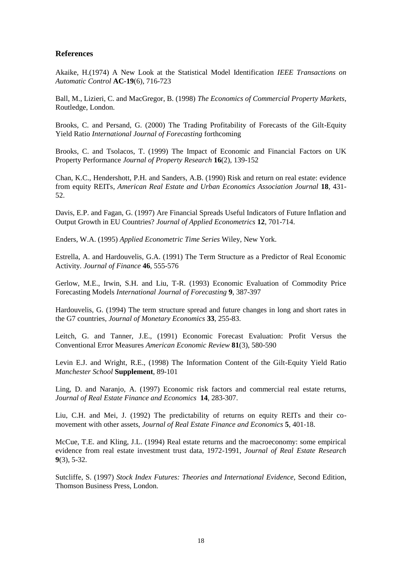#### **References**

Akaike, H.(1974) A New Look at the Statistical Model Identification *IEEE Transactions on Automatic Control* **AC-19**(6), 716-723

Ball, M., Lizieri, C. and MacGregor, B. (1998) *The Economics of Commercial Property Markets*, Routledge, London.

Brooks, C. and Persand, G. (2000) The Trading Profitability of Forecasts of the Gilt-Equity Yield Ratio *International Journal of Forecasting* forthcoming

Brooks, C. and Tsolacos, T. (1999) The Impact of Economic and Financial Factors on UK Property Performance *Journal of Property Research* **16**(2), 139-152

Chan, K.C., Hendershott, P.H. and Sanders, A.B. (1990) Risk and return on real estate: evidence from equity REITs*, American Real Estate and Urban Economics Association Journal* **18**, 431- 52.

Davis, E.P. and Fagan, G. (1997) Are Financial Spreads Useful Indicators of Future Inflation and Output Growth in EU Countries? *Journal of Applied Econometrics* **12**, 701-714.

Enders, W.A. (1995) *Applied Econometric Time Series* Wiley, New York.

Estrella, A. and Hardouvelis, G.A. (1991) The Term Structure as a Predictor of Real Economic Activity. *Journal of Finance* **46**, 555-576

Gerlow, M.E., Irwin, S.H. and Liu, T-R. (1993) Economic Evaluation of Commodity Price Forecasting Models *International Journal of Forecasting* **9**, 387-397

Hardouvelis, G. (1994) The term structure spread and future changes in long and short rates in the G7 countries, *Journal of Monetary Economics* **33**, 255-83.

Leitch, G. and Tanner, J.E., (1991) Economic Forecast Evaluation: Profit Versus the Conventional Error Measures *American Economic Review* **81**(3), 580-590

Levin E.J. and Wright, R.E., (1998) The Information Content of the Gilt-Equity Yield Ratio *Manchester School* **Supplement**, 89-101

Ling, D. and Naranjo, A. (1997) Economic risk factors and commercial real estate returns, *Journal of Real Estate Finance and Economics* **14**, 283-307.

Liu, C.H. and Mei, J. (1992) The predictability of returns on equity REITs and their comovement with other assets, *Journal of Real Estate Finance and Economics* **5**, 401-18.

McCue, T.E. and Kling, J.L. (1994) Real estate returns and the macroeconomy: some empirical evidence from real estate investment trust data, 1972-1991, *Journal of Real Estate Research*  **9**(3), 5-32.

Sutcliffe, S. (1997) *Stock Index Futures: Theories and International Evidence,* Second Edition, Thomson Business Press, London.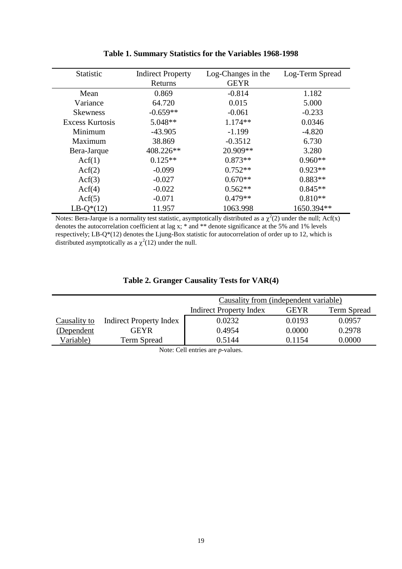| <b>Statistic</b>       | <b>Indirect Property</b> | Log-Changes in the |            |
|------------------------|--------------------------|--------------------|------------|
|                        | Returns                  | <b>GEYR</b>        |            |
| Mean                   | 0.869                    | $-0.814$           | 1.182      |
| Variance               | 64.720                   | 0.015              | 5.000      |
| <b>Skewness</b>        | $-0.659**$               | $-0.061$           | $-0.233$   |
| <b>Excess Kurtosis</b> | $5.048**$                | $1.174**$          | 0.0346     |
| Minimum                | $-43.905$                | $-1.199$           | $-4.820$   |
| Maximum                | 38.869                   | $-0.3512$          | 6.730      |
| Bera-Jarque            | 408.226**                | 20.909**           | 3.280      |
| Act(1)                 | $0.125**$                | $0.873**$          | $0.960**$  |
| Act(2)                 | $-0.099$                 | $0.752**$          | $0.923**$  |
| Act(3)                 | $-0.027$                 | $0.670**$          | $0.883**$  |
| Act(4)                 | $-0.022$                 | $0.562**$          | $0.845**$  |
| $\text{Acf}(5)$        | $-0.071$                 | $0.479**$          | $0.810**$  |
| $LB-Q*(12)$            | 11.957                   | 1063.998           | 1650.394** |

## **Table 1. Summary Statistics for the Variables 1968-1998**

Notes: Bera-Jarque is a normality test statistic, asymptotically distributed as a  $\chi^2(2)$  under the null; Acf(x) denotes the autocorrelation coefficient at lag x; \* and \*\* denote significance at the 5% and 1% levels respectively; LB-Q\*(12) denotes the Ljung-Box statistic for autocorrelation of order up to 12, which is distributed asymptotically as a  $\chi^2(12)$  under the null.

|  |  | Table 2. Granger Causality Tests for VAR(4) |  |  |  |
|--|--|---------------------------------------------|--|--|--|
|--|--|---------------------------------------------|--|--|--|

|              |                                | Causality from (independent variable)                        |        |        |  |
|--------------|--------------------------------|--------------------------------------------------------------|--------|--------|--|
|              |                                | <b>Indirect Property Index</b><br>Term Spread<br><b>GEYR</b> |        |        |  |
| Causality to | <b>Indirect Property Index</b> | 0.0232                                                       | 0.0193 | 0.0957 |  |
| (Dependent   | <b>GEYR</b>                    | 0.4954                                                       | 0.0000 | 0.2978 |  |
| Variable)    | <b>Term Spread</b>             | 0.5144                                                       | 0.1154 | 0.0000 |  |

Note: Cell entries are *p*-values.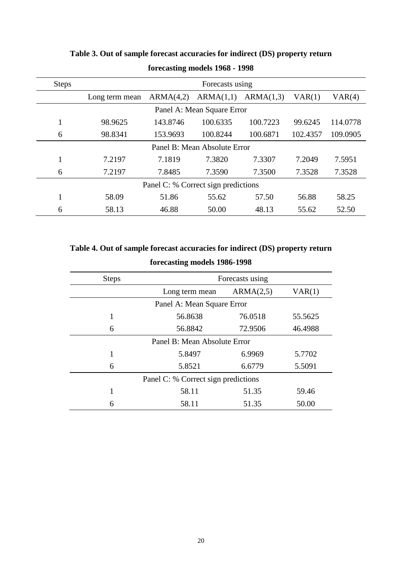| <b>Steps</b> | Forecasts using                     |           |                            |           |          |          |  |
|--------------|-------------------------------------|-----------|----------------------------|-----------|----------|----------|--|
|              | Long term mean                      | ARMA(4,2) | ARMA(1,1)                  | ARMA(1,3) | VAR(1)   | VAR(4)   |  |
|              |                                     |           | Panel A: Mean Square Error |           |          |          |  |
|              | 98.9625                             | 143.8746  | 100.6335                   | 100.7223  | 99.6245  | 114.0778 |  |
| 6            | 98.8341                             | 153.9693  | 100.8244                   | 100.6871  | 102.4357 | 109.0905 |  |
|              | Panel B: Mean Absolute Error        |           |                            |           |          |          |  |
|              | 7.2197                              | 7.1819    | 7.3820                     | 7.3307    | 7.2049   | 7.5951   |  |
| 6            | 7.2197                              | 7.8485    | 7.3590                     | 7.3500    | 7.3528   | 7.3528   |  |
|              | Panel C: % Correct sign predictions |           |                            |           |          |          |  |
|              | 58.09                               | 51.86     | 55.62                      | 57.50     | 56.88    | 58.25    |  |
| 6            | 58.13                               | 46.88     | 50.00                      | 48.13     | 55.62    | 52.50    |  |

# **Table 3. Out of sample forecast accuracies for indirect (DS) property return forecasting models 1968 - 1998**

# **Table 4. Out of sample forecast accuracies for indirect (DS) property return forecasting models 1986-1998**

| <b>Steps</b>                        | Forecasts using              |           |         |  |  |  |
|-------------------------------------|------------------------------|-----------|---------|--|--|--|
|                                     | Long term mean               | ARMA(2,5) |         |  |  |  |
|                                     | Panel A: Mean Square Error   |           |         |  |  |  |
| 1                                   | 56.8638                      | 76.0518   | 55.5625 |  |  |  |
| 6                                   | 72.9506<br>56.8842           |           | 46.4988 |  |  |  |
|                                     | Panel B: Mean Absolute Error |           |         |  |  |  |
| 1                                   | 5.8497                       | 6.9969    | 5.7702  |  |  |  |
| 6                                   | 5.8521                       | 6.6779    | 5.5091  |  |  |  |
| Panel C: % Correct sign predictions |                              |           |         |  |  |  |
| 1                                   | 58.11                        | 51.35     | 59.46   |  |  |  |
| 6                                   | 58.11                        | 51.35     | 50.00   |  |  |  |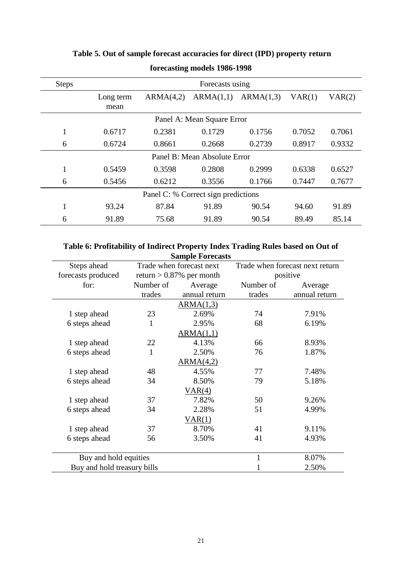| <b>Steps</b> | Forecasts using                     |           |                            |           |        |        |  |
|--------------|-------------------------------------|-----------|----------------------------|-----------|--------|--------|--|
|              | Long term                           | ARMA(4,2) | ARMA(1,1)                  | ARMA(1,3) | VAR(1) | VAR(2) |  |
|              | mean                                |           |                            |           |        |        |  |
|              |                                     |           | Panel A: Mean Square Error |           |        |        |  |
| 1            | 0.6717                              | 0.2381    | 0.1729                     | 0.1756    | 0.7052 | 0.7061 |  |
| 6            | 0.6724                              | 0.8661    | 0.2668                     | 0.2739    | 0.8917 | 0.9332 |  |
|              | Panel B: Mean Absolute Error        |           |                            |           |        |        |  |
| $\mathbf{1}$ | 0.5459                              | 0.3598    | 0.2808                     | 0.2999    | 0.6338 | 0.6527 |  |
| 6            | 0.5456                              | 0.6212    | 0.3556                     | 0.1766    | 0.7447 | 0.7677 |  |
|              | Panel C: % Correct sign predictions |           |                            |           |        |        |  |
| 1            | 93.24                               | 87.84     | 91.89                      | 90.54     | 94.60  | 91.89  |  |
| 6            | 91.89                               | 75.68     | 91.89                      | 90.54     | 89.49  | 85.14  |  |

# **Table 5. Out of sample forecast accuracies for direct (IPD) property return**

**forecasting models 1986-1998**

### **Table 6: Profitability of Indirect Property Index Trading Rules based on Out of Sample Forecasts**

| Steps ahead                 | Trade when forecast next    |               | Trade when forecast next return |               |  |  |  |
|-----------------------------|-----------------------------|---------------|---------------------------------|---------------|--|--|--|
| forecasts produced          | return $> 0.87\%$ per month |               | positive                        |               |  |  |  |
| for:                        | Number of                   | Average       | Number of                       | Average       |  |  |  |
|                             | trades                      | annual return | trades                          | annual return |  |  |  |
|                             |                             | ARMA(1,3)     |                                 |               |  |  |  |
| 1 step ahead                | 23                          | 2.69%         | 74                              | 7.91%         |  |  |  |
| 6 steps ahead               | 1                           | 2.95%         | 68                              | 6.19%         |  |  |  |
|                             |                             | ARMA(1,1)     |                                 |               |  |  |  |
| 1 step ahead                | 22                          | 4.13%         | 66                              | 8.93%         |  |  |  |
| 6 steps ahead               | 1                           | 2.50%         | 76                              | 1.87%         |  |  |  |
|                             |                             | ARMA(4,2)     |                                 |               |  |  |  |
| 1 step ahead                | 48                          | 4.55%         | 77                              | 7.48%         |  |  |  |
| 6 steps ahead               | 34                          | 8.50%         | 79                              | 5.18%         |  |  |  |
|                             |                             | VAR(4)        |                                 |               |  |  |  |
| 1 step ahead                | 37                          | 7.82%         | 50                              | 9.26%         |  |  |  |
| 6 steps ahead               | 34                          | 2.28%         | 51                              | 4.99%         |  |  |  |
| VAR(1)                      |                             |               |                                 |               |  |  |  |
| 1 step ahead                | 37                          | 8.70%         | 41                              | 9.11%         |  |  |  |
| 6 steps ahead               | 56                          | 3.50%         | 41                              | 4.93%         |  |  |  |
|                             |                             |               |                                 |               |  |  |  |
| Buy and hold equities       |                             |               | $\mathbf{1}$                    | 8.07%         |  |  |  |
| Buy and hold treasury bills |                             |               |                                 | 2.50%         |  |  |  |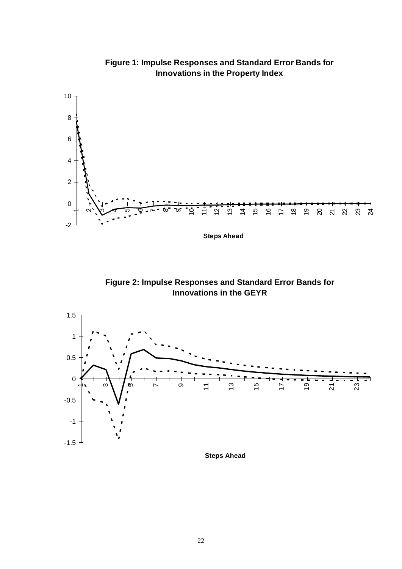

**Figure 1: Impulse Responses and Standard Error Bands for Innovations in the Property Index**

**Steps Ahead**





**Steps Ahead**